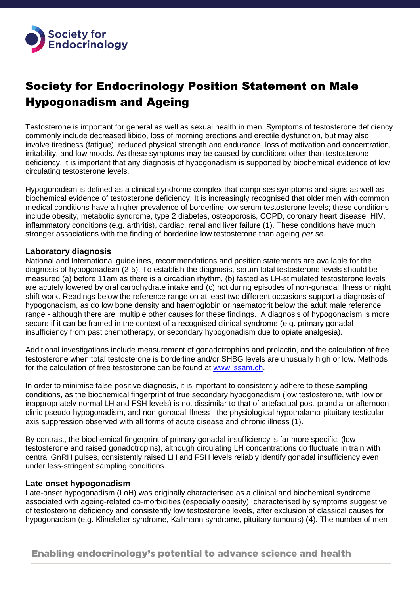

# Society for Endocrinology Position Statement on Male Hypogonadism and Ageing

Testosterone is important for general as well as sexual health in men. Symptoms of testosterone deficiency commonly include decreased libido, loss of morning erections and erectile dysfunction, but may also involve tiredness (fatigue), reduced physical strength and endurance, loss of motivation and concentration, irritability, and low moods. As these symptoms may be caused by conditions other than testosterone deficiency, it is important that any diagnosis of hypogonadism is supported by biochemical evidence of low circulating testosterone levels.

Hypogonadism is defined as a clinical syndrome complex that comprises symptoms and signs as well as biochemical evidence of testosterone deficiency. It is increasingly recognised that older men with common medical conditions have a higher prevalence of borderline low serum testosterone levels; these conditions include obesity, metabolic syndrome, type 2 diabetes, osteoporosis, COPD, coronary heart disease, HIV, inflammatory conditions (e.g. arthritis), cardiac, renal and liver failure (1). These conditions have much stronger associations with the finding of borderline low testosterone than ageing *per se*.

### **Laboratory diagnosis**

National and International guidelines, recommendations and position statements are available for the diagnosis of hypogonadism (2-5). To establish the diagnosis, serum total testosterone levels should be measured (a) before 11am as there is a circadian rhythm, (b) fasted as LH-stimulated testosterone levels are acutely lowered by oral carbohydrate intake and (c) not during episodes of non-gonadal illness or night shift work. Readings below the reference range on at least two different occasions support a diagnosis of hypogonadism, as do low bone density and haemoglobin or haematocrit below the adult male reference range - although there are multiple other causes for these findings. A diagnosis of hypogonadism is more secure if it can be framed in the context of a recognised clinical syndrome (e.g. primary gonadal insufficiency from past chemotherapy, or secondary hypogonadism due to opiate analgesia).

Additional investigations include measurement of gonadotrophins and prolactin, and the calculation of free testosterone when total testosterone is borderline and/or SHBG levels are unusually high or low. Methods for the calculation of free testosterone can be found at [www.issam.ch.](http://www.issam.ch/)

In order to minimise false-positive diagnosis, it is important to consistently adhere to these sampling conditions, as the biochemical fingerprint of true secondary hypogonadism (low testosterone, with low or inappropriately normal LH and FSH levels) is not dissimilar to that of artefactual post-prandial or afternoon clinic pseudo-hypogonadism, and non-gonadal illness - the physiological hypothalamo-pituitary-testicular axis suppression observed with all forms of acute disease and chronic illness (1).

By contrast, the biochemical fingerprint of primary gonadal insufficiency is far more specific, (low testosterone and raised gonadotropins), although circulating LH concentrations do fluctuate in train with central GnRH pulses, consistently raised LH and FSH levels reliably identify gonadal insufficiency even under less-stringent sampling conditions.

#### **Late onset hypogonadism**

Late-onset hypogonadism (LoH) was originally characterised as a clinical and biochemical syndrome associated with ageing-related co-morbidities (especially obesity), characterised by symptoms suggestive of testosterone deficiency and consistently low testosterone levels, after exclusion of classical causes for hypogonadism (e.g. Klinefelter syndrome, Kallmann syndrome, pituitary tumours) (4). The number of men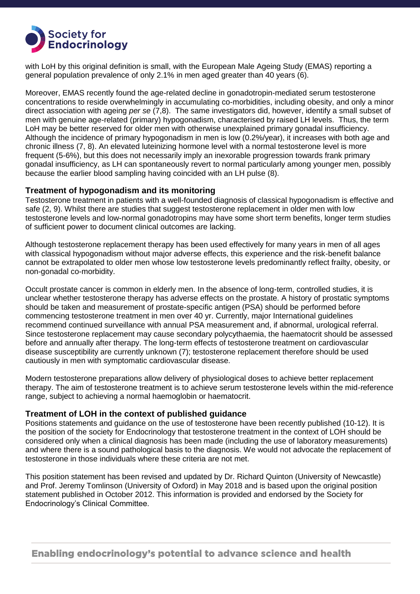

with LoH by this original definition is small, with the European Male Ageing Study (EMAS) reporting a general population prevalence of only 2.1% in men aged greater than 40 years (6).

Moreover, EMAS recently found the age-related decline in gonadotropin-mediated serum testosterone concentrations to reside overwhelmingly in accumulating co-morbidities, including obesity, and only a minor direct association with ageing *per se* (7,8). The same investigators did, however, identify a small subset of men with genuine age-related (primary) hypogonadism, characterised by raised LH levels. Thus, the term LoH may be better reserved for older men with otherwise unexplained primary gonadal insufficiency. Although the incidence of primary hypogonadism in men is low (0.2%/year), it increases with both age and chronic illness (7, 8). An elevated luteinizing hormone level with a normal testosterone level is more frequent (5-6%), but this does not necessarily imply an inexorable progression towards frank primary gonadal insufficiency, as LH can spontaneously revert to normal particularly among younger men, possibly because the earlier blood sampling having coincided with an LH pulse (8).

### **Treatment of hypogonadism and its monitoring**

Testosterone treatment in patients with a well-founded diagnosis of classical hypogonadism is effective and safe (2, 9). Whilst there are studies that suggest testosterone replacement in older men with low testosterone levels and low-normal gonadotropins may have some short term benefits, longer term studies of sufficient power to document clinical outcomes are lacking.

Although testosterone replacement therapy has been used effectively for many years in men of all ages with classical hypogonadism without major adverse effects, this experience and the risk-benefit balance cannot be extrapolated to older men whose low testosterone levels predominantly reflect frailty, obesity, or non-gonadal co-morbidity.

Occult prostate cancer is common in elderly men. In the absence of long-term, controlled studies, it is unclear whether testosterone therapy has adverse effects on the prostate. A history of prostatic symptoms should be taken and measurement of prostate-specific antigen (PSA) should be performed before commencing testosterone treatment in men over 40 yr. Currently, major International guidelines recommend continued surveillance with annual PSA measurement and, if abnormal, urological referral. Since testosterone replacement may cause secondary polycythaemia, the haematocrit should be assessed before and annually after therapy. The long-term effects of testosterone treatment on cardiovascular disease susceptibility are currently unknown (7); testosterone replacement therefore should be used cautiously in men with symptomatic cardiovascular disease.

Modern testosterone preparations allow delivery of physiological doses to achieve better replacement therapy. The aim of testosterone treatment is to achieve serum testosterone levels within the mid-reference range, subject to achieving a normal haemoglobin or haematocrit.

### **Treatment of LOH in the context of published guidance**

Positions statements and guidance on the use of testosterone have been recently published (10-12). It is the position of the society for Endocrinology that testosterone treatment in the context of LOH should be considered only when a clinical diagnosis has been made (including the use of laboratory measurements) and where there is a sound pathological basis to the diagnosis. We would not advocate the replacement of testosterone in those individuals where these criteria are not met.

This position statement has been revised and updated by Dr. Richard Quinton (University of Newcastle) and Prof. Jeremy Tomlinson (University of Oxford) in May 2018 and is based upon the original position statement published in October 2012. This information is provided and endorsed by the Society for Endocrinology's Clinical Committee.